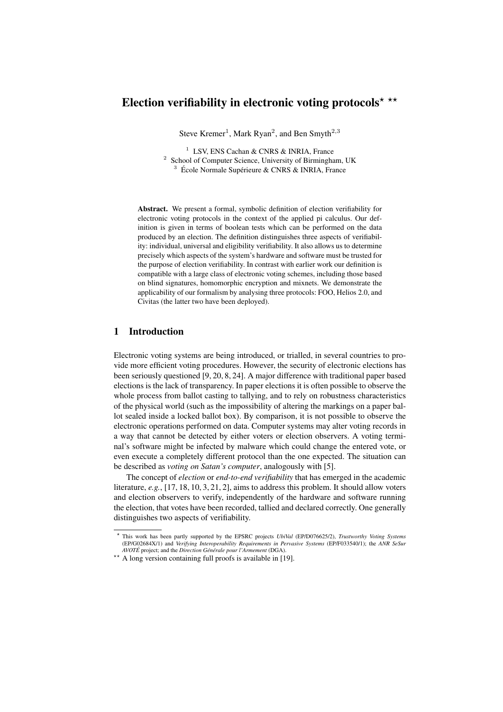# Election verifiability in electronic voting protocols<sup>\*</sup> \*\*

Steve Kremer<sup>1</sup>, Mark Ryan<sup>2</sup>, and Ben Smyth<sup>2,3</sup>

<sup>1</sup> LSV, ENS Cachan & CNRS & INRIA, France 2 School of Computer Science, University of Birmingham, UK  $3 \text{ École Normale Supérieure} \& \text{CNRS} \& \text{INRIA}, \text{France}$ 

Abstract. We present a formal, symbolic definition of election verifiability for electronic voting protocols in the context of the applied pi calculus. Our definition is given in terms of boolean tests which can be performed on the data produced by an election. The definition distinguishes three aspects of verifiability: individual, universal and eligibility verifiability. It also allows us to determine precisely which aspects of the system's hardware and software must be trusted for the purpose of election verifiability. In contrast with earlier work our definition is compatible with a large class of electronic voting schemes, including those based on blind signatures, homomorphic encryption and mixnets. We demonstrate the applicability of our formalism by analysing three protocols: FOO, Helios 2.0, and Civitas (the latter two have been deployed).

# 1 Introduction

Electronic voting systems are being introduced, or trialled, in several countries to provide more efficient voting procedures. However, the security of electronic elections has been seriously questioned [9, 20, 8, 24]. A major difference with traditional paper based elections is the lack of transparency. In paper elections it is often possible to observe the whole process from ballot casting to tallying, and to rely on robustness characteristics of the physical world (such as the impossibility of altering the markings on a paper ballot sealed inside a locked ballot box). By comparison, it is not possible to observe the electronic operations performed on data. Computer systems may alter voting records in a way that cannot be detected by either voters or election observers. A voting terminal's software might be infected by malware which could change the entered vote, or even execute a completely different protocol than the one expected. The situation can be described as *voting on Satan's computer*, analogously with [5].

The concept of *election* or *end-to-end verifiability* that has emerged in the academic literature, *e.g.*, [17, 18, 10, 3, 21, 2], aims to address this problem. It should allow voters and election observers to verify, independently of the hardware and software running the election, that votes have been recorded, tallied and declared correctly. One generally distinguishes two aspects of verifiability.

<sup>?</sup> This work has been partly supported by the EPSRC projects *UbiVal* (EP/D076625/2), *Trustworthy Voting Systems* (EP/G02684X/1) and *Verifying Interoperability Requirements in Pervasive Systems* (EP/F033540/1); the *ANR SeSur AVOTE´* project; and the *Direction Gen´ erale pour l'Armement ´* (DGA).

<sup>\*\*</sup> A long version containing full proofs is available in [19].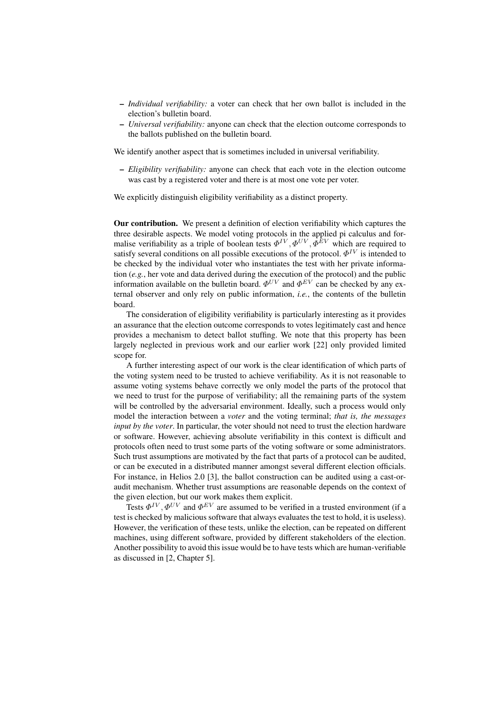- *Individual verifiability:* a voter can check that her own ballot is included in the election's bulletin board.
- *Universal verifiability:* anyone can check that the election outcome corresponds to the ballots published on the bulletin board.

We identify another aspect that is sometimes included in universal verifiability.

– *Eligibility verifiability:* anyone can check that each vote in the election outcome was cast by a registered voter and there is at most one vote per voter.

We explicitly distinguish eligibility verifiability as a distinct property.

Our contribution. We present a definition of election verifiability which captures the three desirable aspects. We model voting protocols in the applied pi calculus and formalise verifiability as a triple of boolean tests  $\Phi^{IV}, \Phi^{UV}, \Phi^{EV}$  which are required to satisfy several conditions on all possible executions of the protocol.  $\Phi^{IV}$  is intended to be checked by the individual voter who instantiates the test with her private information (*e.g.*, her vote and data derived during the execution of the protocol) and the public information available on the bulletin board.  $\Phi^{UV}$  and  $\Phi^{EV}$  can be checked by any external observer and only rely on public information, *i.e.*, the contents of the bulletin board.

The consideration of eligibility verifiability is particularly interesting as it provides an assurance that the election outcome corresponds to votes legitimately cast and hence provides a mechanism to detect ballot stuffing. We note that this property has been largely neglected in previous work and our earlier work [22] only provided limited scope for.

A further interesting aspect of our work is the clear identification of which parts of the voting system need to be trusted to achieve verifiability. As it is not reasonable to assume voting systems behave correctly we only model the parts of the protocol that we need to trust for the purpose of verifiability; all the remaining parts of the system will be controlled by the adversarial environment. Ideally, such a process would only model the interaction between a *voter* and the voting terminal; *that is, the messages input by the voter*. In particular, the voter should not need to trust the election hardware or software. However, achieving absolute verifiability in this context is difficult and protocols often need to trust some parts of the voting software or some administrators. Such trust assumptions are motivated by the fact that parts of a protocol can be audited, or can be executed in a distributed manner amongst several different election officials. For instance, in Helios 2.0 [3], the ballot construction can be audited using a cast-oraudit mechanism. Whether trust assumptions are reasonable depends on the context of the given election, but our work makes them explicit.

Tests  $\Phi^{IV}$ ,  $\Phi^{UV}$  and  $\Phi^{EV}$  are assumed to be verified in a trusted environment (if a test is checked by malicious software that always evaluates the test to hold, it is useless). However, the verification of these tests, unlike the election, can be repeated on different machines, using different software, provided by different stakeholders of the election. Another possibility to avoid this issue would be to have tests which are human-verifiable as discussed in [2, Chapter 5].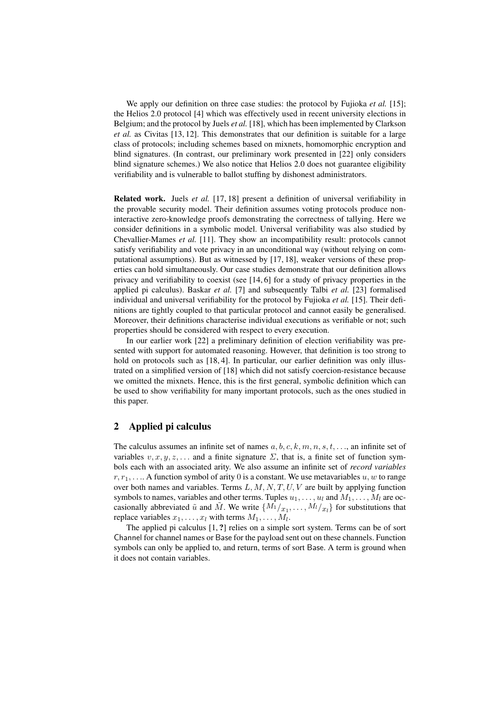We apply our definition on three case studies: the protocol by Fujioka *et al.* [15]; the Helios 2.0 protocol [4] which was effectively used in recent university elections in Belgium; and the protocol by Juels *et al.* [18], which has been implemented by Clarkson *et al.* as Civitas [13, 12]. This demonstrates that our definition is suitable for a large class of protocols; including schemes based on mixnets, homomorphic encryption and blind signatures. (In contrast, our preliminary work presented in [22] only considers blind signature schemes.) We also notice that Helios 2.0 does not guarantee eligibility verifiability and is vulnerable to ballot stuffing by dishonest administrators.

Related work. Juels *et al.* [17, 18] present a definition of universal verifiability in the provable security model. Their definition assumes voting protocols produce noninteractive zero-knowledge proofs demonstrating the correctness of tallying. Here we consider definitions in a symbolic model. Universal verifiability was also studied by Chevallier-Mames *et al.* [11]. They show an incompatibility result: protocols cannot satisfy verifiability and vote privacy in an unconditional way (without relying on computational assumptions). But as witnessed by [17, 18], weaker versions of these properties can hold simultaneously. Our case studies demonstrate that our definition allows privacy and verifiability to coexist (see [14, 6] for a study of privacy properties in the applied pi calculus). Baskar *et al.* [7] and subsequently Talbi *et al.* [23] formalised individual and universal verifiability for the protocol by Fujioka *et al.* [15]. Their definitions are tightly coupled to that particular protocol and cannot easily be generalised. Moreover, their definitions characterise individual executions as verifiable or not; such properties should be considered with respect to every execution.

In our earlier work [22] a preliminary definition of election verifiability was presented with support for automated reasoning. However, that definition is too strong to hold on protocols such as [18, 4]. In particular, our earlier definition was only illustrated on a simplified version of [18] which did not satisfy coercion-resistance because we omitted the mixnets. Hence, this is the first general, symbolic definition which can be used to show verifiability for many important protocols, such as the ones studied in this paper.

## 2 Applied pi calculus

The calculus assumes an infinite set of names  $a, b, c, k, m, n, s, t, \dots$ , an infinite set of variables  $v, x, y, z, \ldots$  and a finite signature  $\Sigma$ , that is, a finite set of function symbols each with an associated arity. We also assume an infinite set of *record variables*  $r, r_1, \ldots$  A function symbol of arity 0 is a constant. We use metavariables u, w to range over both names and variables. Terms  $L, M, N, T, U, V$  are built by applying function symbols to names, variables and other terms. Tuples  $u_1, \ldots, u_l$  and  $M_1, \ldots, M_l$  are occasionally abbreviated  $\tilde{u}$  and  $\tilde{M}$ . We write  $\{M_1/x_1, \ldots, M_l/x_l\}$  for substitutions that replace variables  $x_1, \ldots, x_l$  with terms  $M_1, \ldots, M_l$ .

The applied pi calculus [1, ?] relies on a simple sort system. Terms can be of sort Channel for channel names or Base for the payload sent out on these channels. Function symbols can only be applied to, and return, terms of sort Base. A term is ground when it does not contain variables.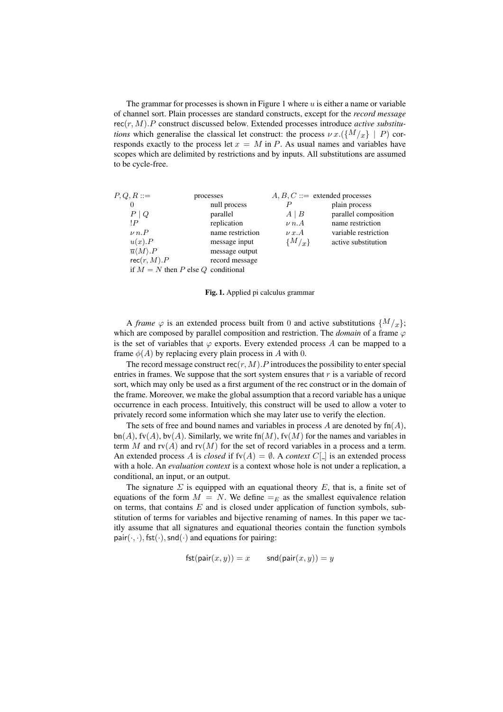The grammar for processes is shown in Figure 1 where  $u$  is either a name or variable of channel sort. Plain processes are standard constructs, except for the *record message* rec(r, M).P construct discussed below. Extended processes introduce *active substitutions* which generalise the classical let construct: the process  $\nu x.({M/x} | P)$  corresponds exactly to the process let  $x = M$  in P. As usual names and variables have scopes which are delimited by restrictions and by inputs. All substitutions are assumed to be cycle-free.

| $P,Q,R ::=$                          | processes        |               | $A, B, C ::=$ extended processes |
|--------------------------------------|------------------|---------------|----------------------------------|
| 0                                    | null process     |               | plain process                    |
| $P \mid Q$                           | parallel         | $A \mid B$    | parallel composition             |
| ΙP                                   | replication      | $\nu$ n.A     | name restriction                 |
| $\nu n.P$                            | name restriction | $\nu x. A$    | variable restriction             |
| $u(x)$ . $P$                         | message input    | $\{M/_{x}\}\$ | active substitution              |
| $\overline{u}\langle M \rangle.P$    | message output   |               |                                  |
| rec(r, M).P                          | record message   |               |                                  |
| if $M = N$ then P else Q conditional |                  |               |                                  |
|                                      |                  |               |                                  |

#### Fig. 1. Applied pi calculus grammar

A *frame*  $\varphi$  is an extended process built from 0 and active substitutions  $\{M_{\alpha}\};$ which are composed by parallel composition and restriction. The *domain* of a frame  $\varphi$ is the set of variables that  $\varphi$  exports. Every extended process A can be mapped to a frame  $\phi(A)$  by replacing every plain process in A with 0.

The record message construct rec $(r, M)$ . P introduces the possibility to enter special entries in frames. We suppose that the sort system ensures that  $r$  is a variable of record sort, which may only be used as a first argument of the rec construct or in the domain of the frame. Moreover, we make the global assumption that a record variable has a unique occurrence in each process. Intuitively, this construct will be used to allow a voter to privately record some information which she may later use to verify the election.

The sets of free and bound names and variables in process  $A$  are denoted by  $fn(A)$ ,  $bn(A), fv(A), bv(A).$  Similarly, we write  $fn(M), fv(M)$  for the names and variables in term M and  $rv(A)$  and  $rv(M)$  for the set of record variables in a process and a term. An extended process A is *closed* if  $fv(A) = \emptyset$ . A *context*  $C[\ ]$  is an extended process with a hole. An *evaluation context* is a context whose hole is not under a replication, a conditional, an input, or an output.

The signature  $\Sigma$  is equipped with an equational theory E, that is, a finite set of equations of the form  $M = N$ . We define  $=_E$  as the smallest equivalence relation on terms, that contains  $E$  and is closed under application of function symbols, substitution of terms for variables and bijective renaming of names. In this paper we tacitly assume that all signatures and equational theories contain the function symbols  $pair(\cdot, \cdot), fst(\cdot), snd(\cdot)$  and equations for pairing:

$$
fst(pair(x, y)) = x \qquad snd(pair(x, y)) = y
$$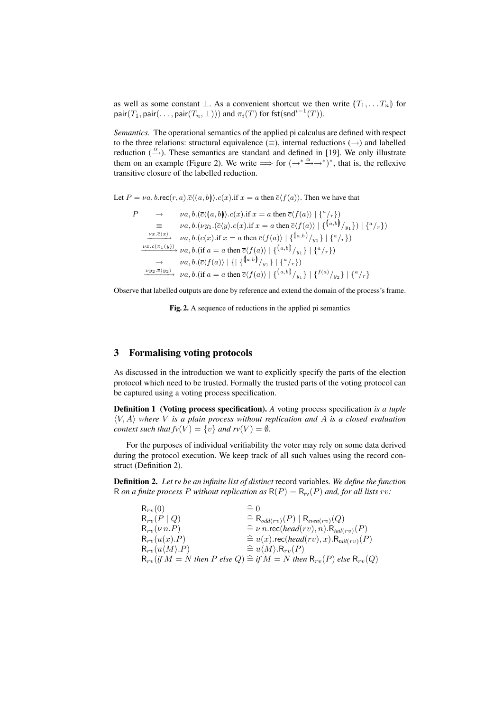as well as some constant  $\perp$ . As a convenient shortcut we then write  $(T_1, \ldots, T_n)$  for pair $(T_1,$  pair $(\ldots,$  pair $(T_n, \bot)) )$  and  $\pi_i(T)$  for fst $(\mathsf{snd}^{i-1}(T)).$ 

*Semantics.* The operational semantics of the applied pi calculus are defined with respect to the three relations: structural equivalence (≡), internal reductions (−→) and labelled reduction  $(\xrightarrow{\alpha} )$ . These semantics are standard and defined in [19]. We only illustrate them on an example (Figure 2). We write  $\implies$  for  $(\rightarrow^* \rightarrow^*)^*$ , that is, the reflexive transitive closure of the labelled reduction.

Let  $P = \nu a$ , b.rec $(r, a) \cdot \overline{c} \langle (a, b) \rangle \cdot c(x)$ . if  $x = a$  then  $\overline{c} \langle f(a) \rangle$ . Then we have that

$$
P \rightarrow \nu a, b.(\overline{c}\langle (a,b)\rangle \cdot c(x). \text{if } x = a \text{ then } \overline{c}\langle f(a)\rangle \mid \{^a/_r\})
$$
  
\n
$$
\equiv \nu a, b.(\nu y_1.(\overline{c}\langle y)\cdot c(x). \text{if } x = a \text{ then } \overline{c}\langle f(a)\rangle \mid \{^{(a,b)}/_y_1\}) \mid \{^a/_r\})
$$
  
\n
$$
\xrightarrow{\nu x.\overline{c}\langle x\rangle} \nu a, b.(\overline{c}\langle x). \text{if } x = a \text{ then } \overline{c}\langle f(a)\rangle \mid \{^{(a,b)}/_y_1\} \mid \{^a/_r\})
$$
  
\n
$$
\xrightarrow{\nu x.\overline{c}\langle \pi_1(y)\rangle} \nu a, b. (\text{if } a = a \text{ then } \overline{c}\langle f(a)\rangle \mid \{^{(a,b)}/_y_1\} \mid \{^a/_r\})
$$
  
\n
$$
\rightarrow \nu a, b.(\overline{c}\langle f(a)\rangle) \mid \{ \mid \{^{(a,b)}/_y_1\} \mid \{^a/_r\})
$$
  
\n
$$
\xrightarrow{\nu y_2.\overline{c}\langle y_2\rangle} \nu a, b. (\text{if } a = a \text{ then } \overline{c}\langle f(a)\rangle \mid \{^{(a,b)}/_y_1\} \mid \{^{f(a)}/_y_2\} \mid \{^a/_r\}
$$

Observe that labelled outputs are done by reference and extend the domain of the process's frame.

Fig. 2. A sequence of reductions in the applied pi semantics

### 3 Formalising voting protocols

As discussed in the introduction we want to explicitly specify the parts of the election protocol which need to be trusted. Formally the trusted parts of the voting protocol can be captured using a voting process specification.

Definition 1 (Voting process specification). *A* voting process specification *is a tuple*  $\langle V, A \rangle$  *where* V *is a plain process without replication and* A *is a closed evaluation context such that fv*( $V$ ) = {*v*} *and rv*( $V$ ) =  $\emptyset$ *.* 

For the purposes of individual verifiability the voter may rely on some data derived during the protocol execution. We keep track of all such values using the record construct (Definition 2).

Definition 2. *Let* rv *be an infinite list of distinct* record variables*. We define the function* R *on a finite process* P *without replication as*  $R(P) = R<sub>rv</sub>(P)$  *and, for all lists rv:* 

| $\mathsf{R}_{rv}(0)$                              | $\widehat{=} 0$                                                               |
|---------------------------------------------------|-------------------------------------------------------------------------------|
| $\mathsf{R}_{rv}(P\mid Q)$                        | $\widehat{=}$ R <sub>odd(rv)</sub> $(P)$   R <sub>even(rv)</sub> $(Q)$        |
| $R_{rv}(\nu n.P)$                                 | $\widehat{=} \nu$ n.rec(head(rv), n). $R_{tail(rv)}(P)$                       |
| $\mathsf{R}_{rv}(u(x).P)$                         | $\widehat{=} u(x)$ .rec(head(rv), x). $R_{tail(rv)}(P)$                       |
| $\mathsf{R}_{rv}(\overline{u}\langle M\rangle.P)$ | $\widehat{=}\overline{u}\langle M\rangle.R_{rv}(P)$                           |
|                                                   | $R_{rv}(if M = N then P else Q) \cong if M = N then R_{rv}(P) else R_{rv}(Q)$ |
|                                                   |                                                                               |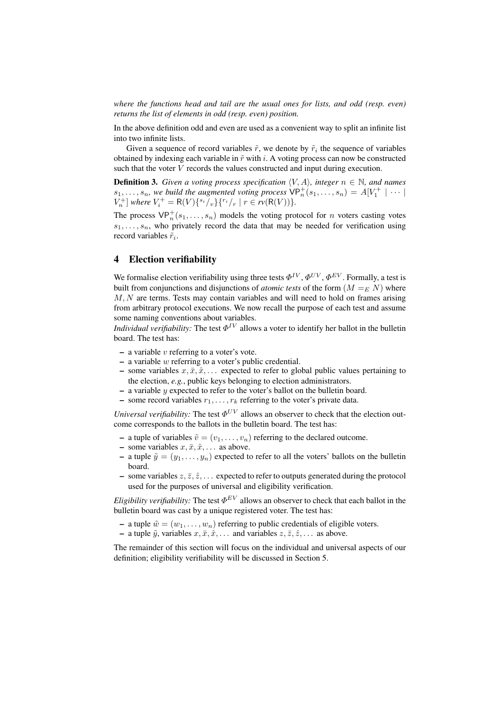*where the functions head and tail are the usual ones for lists, and odd (resp. even) returns the list of elements in odd (resp. even) position.*

In the above definition odd and even are used as a convenient way to split an infinite list into two infinite lists.

Given a sequence of record variables  $\tilde{r}$ , we denote by  $\tilde{r}_i$  the sequence of variables obtained by indexing each variable in  $\tilde{r}$  with i. A voting process can now be constructed such that the voter V records the values constructed and input during execution.

**Definition 3.** *Given a voting process specification*  $\langle V, A \rangle$ *, integer*  $n \in \mathbb{N}$ *, and names*  $s_1, \ldots, s_n$ , we build the augmented voting process  $\mathsf{VP}_n^+(s_1, \ldots, s_n) = A[V_1^+] \cdots$  $V_n^+$ ] where  $V_i^+ = R(V) \{ {}^{s_i} / {}_v \} \{ {}^{r_i} / {}_r \mid r \in r \nu(R(V)) \}.$ 

The process  $VP_n^+(s_1,\ldots,s_n)$  models the voting protocol for n voters casting votes  $s_1, \ldots, s_n$ , who privately record the data that may be needed for verification using record variables  $\tilde{r}_i$ .

# 4 Election verifiability

We formalise election verifiability using three tests  $\Phi^{IV}$ ,  $\Phi^{UV}$ ,  $\Phi^{EV}$ . Formally, a test is built from conjunctions and disjunctions of *atomic tests* of the form  $(M =_{E} N)$  where  $M, N$  are terms. Tests may contain variables and will need to hold on frames arising from arbitrary protocol executions. We now recall the purpose of each test and assume some naming conventions about variables.

*Individual verifiability:* The test  $\Phi^{IV}$  allows a voter to identify her ballot in the bulletin board. The test has:

- $-$  a variable v referring to a voter's vote.
- $-$  a variable  $w$  referring to a voter's public credential.
- some variables  $x, \bar{x}, \hat{x}, \dots$  expected to refer to global public values pertaining to the election, *e.g.*, public keys belonging to election administrators.
- $-$  a variable y expected to refer to the voter's ballot on the bulletin board.
- some record variables  $r_1, \ldots, r_k$  referring to the voter's private data.

*Universal verifiability:* The test  $\Phi^{UV}$  allows an observer to check that the election outcome corresponds to the ballots in the bulletin board. The test has:

- a tuple of variables  $\tilde{v} = (v_1, \ldots, v_n)$  referring to the declared outcome.
- some variables  $x, \bar{x}, \hat{x}, \dots$  as above.
- a tuple  $\tilde{y} = (y_1, \ldots, y_n)$  expected to refer to all the voters' ballots on the bulletin board.
- some variables  $z, \bar{z}, \hat{z}, \ldots$  expected to refer to outputs generated during the protocol used for the purposes of universal and eligibility verification.

*Eligibility verifiability:* The test  $\Phi^{EV}$  allows an observer to check that each ballot in the bulletin board was cast by a unique registered voter. The test has:

- a tuple  $\tilde{w} = (w_1, \ldots, w_n)$  referring to public credentials of eligible voters.
- a tuple  $\tilde{y}$ , variables  $x, \bar{x}, \hat{x}, \dots$  and variables  $z, \bar{z}, \hat{z}, \dots$  as above.

The remainder of this section will focus on the individual and universal aspects of our definition; eligibility verifiability will be discussed in Section 5.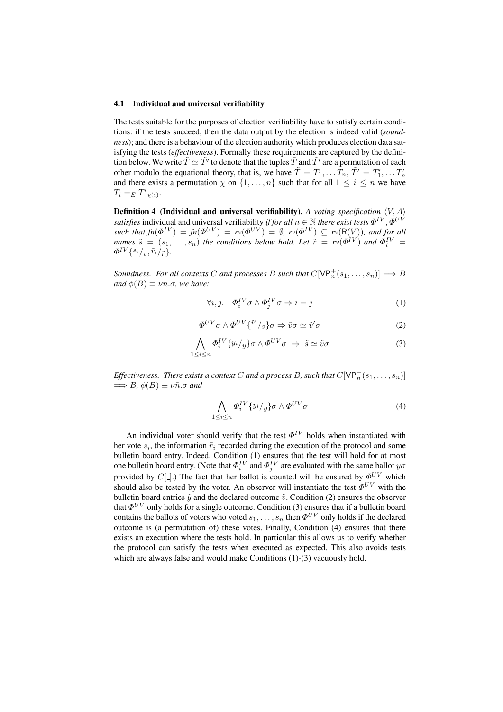#### 4.1 Individual and universal verifiability

The tests suitable for the purposes of election verifiability have to satisfy certain conditions: if the tests succeed, then the data output by the election is indeed valid (*soundness*); and there is a behaviour of the election authority which produces election data satisfying the tests (*effectiveness*). Formally these requirements are captured by the definition below. We write  $\tilde{T} \simeq \tilde{T}'$  to denote that the tuples  $\tilde{T}$  and  $\tilde{T}'$  are a permutation of each other modulo the equational theory, that is, we have  $\tilde{T} = T_1, \dots, \tilde{T}_n, \tilde{T}' = T'_1, \dots, T'_n$ and there exists a permutation  $\chi$  on  $\{1, \ldots, n\}$  such that for all  $1 \leq i \leq n$  we have  $T_i =_E T'_{\chi(i)}.$ 

**Definition 4 (Individual and universal verifiability).** *A voting specification*  $\langle V, A \rangle$ *satisfies* individual and universal verifiability *if for all*  $n \in \mathbb{N}$  *there exist tests*  $\Phi^{IV}$ ,  $\Phi^{UV}$  $satisfies$  individual and universal verifiability *if for all*  $n \in \mathbb{N}$  *there exist tests*  $\Phi^{IV}, \Phi^{UV}$ *such that*  $fn(\Phi^{IV}) = fn(\Phi^{UV}) = rv(\Phi^{UV}) = \emptyset$ *,*  $rv(\Phi^{IV}) \subseteq rv(R(V))$ *, and for all names*  $\tilde{s} = (s_1, \ldots, s_n)$  *the conditions below hold. Let*  $\tilde{r} = r v(\Phi^{IV})$  *and*  $\Phi_i^{IV} =$  $\varPhi^{IV}\{^{s_i/rangle_v,\tilde{r}_i/\tilde{r}\}.$ 

*Soundness. For all contexts* C and processes B such that  $C[\mathsf{VP}_n^+(s_1,\ldots,s_n)] \Longrightarrow B$ *and*  $\phi(B) \equiv \nu \tilde{n} \cdot \sigma$ , we have:

$$
\forall i, j. \quad \Phi_i^{IV} \sigma \wedge \Phi_j^{IV} \sigma \Rightarrow i = j \tag{1}
$$

$$
\Phi^{UV}\sigma \wedge \Phi^{UV}\{\tilde{v}'/\tilde{v}\}\sigma \Rightarrow \tilde{v}\sigma \simeq \tilde{v}'\sigma \tag{2}
$$

$$
\bigwedge_{1 \leq i \leq n} \Phi_i^{IV} \{ y_i/y \} \sigma \wedge \Phi^{UV} \sigma \implies \tilde{s} \simeq \tilde{v} \sigma \tag{3}
$$

Effectiveness. There exists a context  $C$  and a process  $B$ , such that  $C[\mathsf{VP}^+_n(s_1,\ldots,s_n)]$  $\implies$  B,  $\phi(B) \equiv \nu \tilde{n} \cdot \sigma$  and

 $\overline{1}$ 

$$
\bigwedge_{1 \leq i \leq n} \Phi_i^{IV} \{ y_i/y \} \sigma \wedge \Phi^{UV} \sigma \tag{4}
$$

An individual voter should verify that the test  $\Phi^{IV}$  holds when instantiated with her vote  $s_i$ , the information  $\tilde{r}_i$  recorded during the execution of the protocol and some bulletin board entry. Indeed, Condition (1) ensures that the test will hold for at most one bulletin board entry. (Note that  $\Phi_i^{IV}$  and  $\Phi_j^{IV}$  are evaluated with the same ballot  $y\sigma$ provided by  $C[\_]$ .) The fact that her ballot is counted will be ensured by  $\Phi^{UV}$  which should also be tested by the voter. An observer will instantiate the test  $\Phi^{UV}$  with the bulletin board entries  $\tilde{y}$  and the declared outcome  $\tilde{v}$ . Condition (2) ensures the observer that  $\Phi^{UV}$  only holds for a single outcome. Condition (3) ensures that if a bulletin board contains the ballots of voters who voted  $s_1, \ldots, s_n$  then  $\Phi^{UV}$  only holds if the declared outcome is (a permutation of) these votes. Finally, Condition (4) ensures that there exists an execution where the tests hold. In particular this allows us to verify whether the protocol can satisfy the tests when executed as expected. This also avoids tests which are always false and would make Conditions (1)-(3) vacuously hold.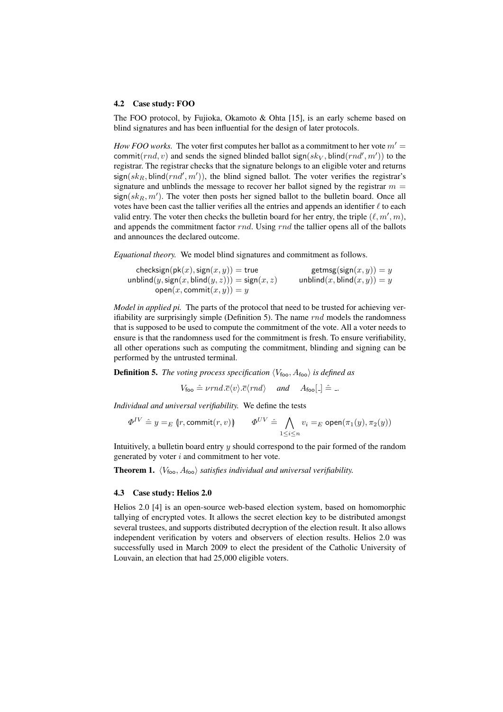#### 4.2 Case study: FOO

The FOO protocol, by Fujioka, Okamoto & Ohta [15], is an early scheme based on blind signatures and has been influential for the design of later protocols.

*How FOO works.* The voter first computes her ballot as a commitment to her vote  $m' =$ commit $(rnd, v)$  and sends the signed blinded ballot sign $(sk_V, \text{blind}(rnd', m'))$  to the registrar. The registrar checks that the signature belongs to an eligible voter and returns  $sign(sk_R, blind(rnd', m'))$ , the blind signed ballot. The voter verifies the registrar's signature and unblinds the message to recover her ballot signed by the registrar  $m =$  $sign(sk_R, m')$ . The voter then posts her signed ballot to the bulletin board. Once all votes have been cast the tallier verifies all the entries and appends an identifier  $\ell$  to each valid entry. The voter then checks the bulletin board for her entry, the triple  $(\ell, m', m)$ , and appends the commitment factor  $rnd$ . Using  $rnd$  the tallier opens all of the ballots and announces the declared outcome.

*Equational theory.* We model blind signatures and commitment as follows.

checksign(pk(x), sign(x, y)) = true getmsg(sign(x, y)) = y unblind(y, sign(x, blind(y, z))) = sign(x, z) unblind(x, blind(x, y)) = y  $open(x, commit(x, y)) = y$ 

*Model in applied pi.* The parts of the protocol that need to be trusted for achieving verifiability are surprisingly simple (Definition 5). The name rnd models the randomness that is supposed to be used to compute the commitment of the vote. All a voter needs to ensure is that the randomness used for the commitment is fresh. To ensure verifiability, all other operations such as computing the commitment, blinding and signing can be performed by the untrusted terminal.

**Definition 5.** *The voting process specification*  $\langle V_{\text{foo}}, A_{\text{foo}} \rangle$  *is defined as* 

 $V_{\text{foo}} \hat{=} \nu \, \text{rnd} \cdot \overline{c} \langle \text{rnd} \rangle$  and  $A_{\text{foo}}[.] \hat{=}$ .

*Individual and universal verifiability.* We define the tests

$$
\Phi^{IV} \doteq y =_E (r, \text{commit}(r, v)) \qquad \Phi^{UV} \doteq \bigwedge_{1 \leq i \leq n} v_i =_E \text{open}(\pi_1(y), \pi_2(y))
$$

Intuitively, a bulletin board entry  $y$  should correspond to the pair formed of the random generated by voter  $i$  and commitment to her vote.

**Theorem 1.**  $\langle V_{\text{foo}}, A_{\text{foo}} \rangle$  *satisfies individual and universal verifiability.* 

#### 4.3 Case study: Helios 2.0

Helios 2.0 [4] is an open-source web-based election system, based on homomorphic tallying of encrypted votes. It allows the secret election key to be distributed amongst several trustees, and supports distributed decryption of the election result. It also allows independent verification by voters and observers of election results. Helios 2.0 was successfully used in March 2009 to elect the president of the Catholic University of Louvain, an election that had 25,000 eligible voters.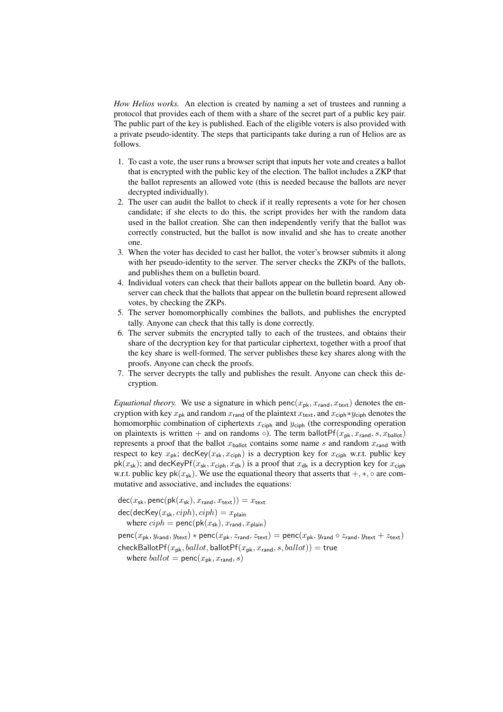*How Helios works.* An election is created by naming a set of trustees and running a protocol that provides each of them with a share of the secret part of a public key pair. The public part of the key is published. Each of the eligible voters is also provided with a private pseudo-identity. The steps that participants take during a run of Helios are as follows.

- 1. To cast a vote, the user runs a browser script that inputs her vote and creates a ballot that is encrypted with the public key of the election. The ballot includes a ZKP that the ballot represents an allowed vote (this is needed because the ballots are never decrypted individually).
- 2. The user can audit the ballot to check if it really represents a vote for her chosen candidate; if she elects to do this, the script provides her with the random data used in the ballot creation. She can then independently verify that the ballot was correctly constructed, but the ballot is now invalid and she has to create another one.
- 3. When the voter has decided to cast her ballot, the voter's browser submits it along with her pseudo-identity to the server. The server checks the ZKPs of the ballots, and publishes them on a bulletin board.
- 4. Individual voters can check that their ballots appear on the bulletin board. Any observer can check that the ballots that appear on the bulletin board represent allowed votes, by checking the ZKPs.
- 5. The server homomorphically combines the ballots, and publishes the encrypted tally. Anyone can check that this tally is done correctly.
- 6. The server submits the encrypted tally to each of the trustees, and obtains their share of the decryption key for that particular ciphertext, together with a proof that the key share is well-formed. The server publishes these key shares along with the proofs. Anyone can check the proofs.
- 7. The server decrypts the tally and publishes the result. Anyone can check this decryption.

*Equational theory.* We use a signature in which penc( $x_{\text{pk}}, x_{\text{rand}}, x_{\text{text}}$ ) denotes the encryption with key  $x_{pk}$  and random  $x_{rand}$  of the plaintext  $x_{text}$ , and  $x_{ciph}*y_{ciph}$  denotes the homomorphic combination of ciphertexts  $x_{\text{ciph}}$  and  $y_{\text{ciph}}$  (the corresponding operation on plaintexts is written + and on randoms  $\circ$ ). The term ballot Pf( $x_{\text{pk}}, x_{\text{rand}}, s, x_{\text{ballot}}$ ) represents a proof that the ballot  $x_{\text{ballot}}$  contains some name s and random  $x_{\text{rand}}$  with respect to key  $x_{\rm pk}$ ; decKey( $x_{\rm sk}$ ,  $x_{\rm ciph}$ ) is a decryption key for  $x_{\rm ciph}$  w.r.t. public key  $pk(x_{sk})$ ; and decKeyPf( $x_{sk}$ ,  $x_{ciph}$ ,  $x_{dk}$ ) is a proof that  $x_{dk}$  is a decryption key for  $x_{ciph}$ w.r.t. public key pk( $x_{sk}$ ). We use the equational theory that asserts that  $+, *, \circ$  are commutative and associative, and includes the equations:

$$
\begin{aligned}\n\text{dec}(x_{\text{sk}}, \text{penc}(\text{pk}(x_{\text{sk}}), x_{\text{rand}}, x_{\text{text}})) &= x_{\text{text}} \\
\text{dec}(\text{decKey}(x_{\text{sk}}, ciph), ciph) &= x_{\text{plain}} \\
\text{where } ciph &= \text{penc}(\text{pk}(x_{\text{sk}}), x_{\text{rand}}, x_{\text{plain}}) \\
\text{penc}(x_{\text{old}}, y_{\text{old}}), y_{\text{old}}(x_{\text{old}}, y_{\text{old}}) &= \text{penc}(x_{\text{old}}, y_{\text{old}}) \\
\end{aligned}
$$

 $penc(x_{pk}, y_{rand}, y_{text}) * penc(x_{pk}, z_{rand}, z_{text}) = penc(x_{pk}, y_{rand} \circ z_{rand}, y_{text} + z_{text})$ checkBallotPf( $x_{\text{pk}}$ , ballot, ballotPf( $x_{\text{pk}}$ ,  $x_{\text{rand}}$ ,  $s$ , ballot)) = true where  $ballot = \text{penc}(x_{\text{pk}}, x_{\text{rand}}, s)$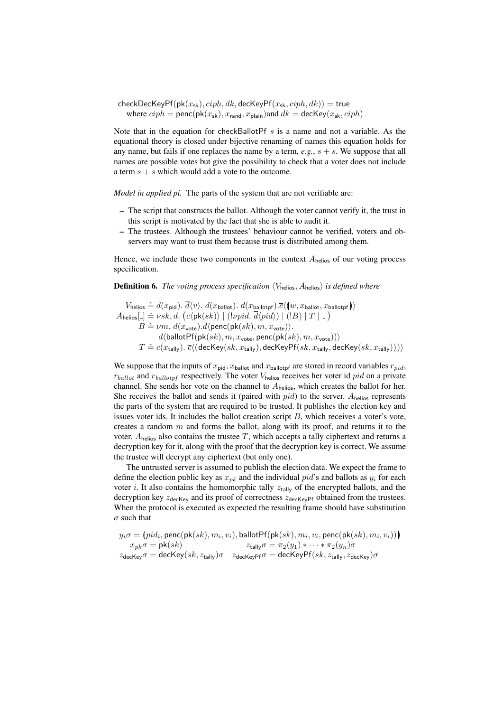checkDecKeyPf( $pk(x_{sk})$ ,  $ciph$ ,  $dk$ , decKeyPf( $x_{sk}$ ,  $ciph$ ,  $dk$ )) = true where  $ciph = \text{penc}(\text{pk}(x_{\text{sk}}), x_{\text{rand}}, x_{\text{plain}})$  and  $dk = \text{deckey}(x_{\text{sk}}, ciph)$ 

Note that in the equation for checkBallotPf  $s$  is a name and not a variable. As the equational theory is closed under bijective renaming of names this equation holds for any name, but fails if one replaces the name by a term,  $e.g., s + s$ . We suppose that all names are possible votes but give the possibility to check that a voter does not include a term  $s + s$  which would add a vote to the outcome.

*Model in applied pi.* The parts of the system that are not verifiable are:

- The script that constructs the ballot. Although the voter cannot verify it, the trust in this script is motivated by the fact that she is able to audit it.
- The trustees. Although the trustees' behaviour cannot be verified, voters and observers may want to trust them because trust is distributed among them.

Hence, we include these two components in the context  $A_{helios}$  of our voting process specification.

**Definition 6.** *The voting process specification*  $\langle V_{helios}, A_{helios} \rangle$  *is defined where* 

 $V_{\text{helios}} \mathrel{\hat=} d(x_{\text{pid}}) . \overline{d} \langle v \rangle . \ d(x_{\text{ballot}}) . \ d(x_{\text{ballotpf}}) . \overline{c} \langle (w, x_{\text{ballot}}, x_{\text{ballotpf}}) \rangle$  $A_{\sf helios}[\mathbin{\ldotp}] \ \hat{=} \ \nu sk, d. \ \bigl( \bar{c} \langle \mathsf{pk}(sk) \rangle \mid (!ppid. \ \overline{d} \langle pid \rangle) \mid (!B) \mid T \mid \mathbin{\ldotp} \bigl)$  $B \doteq \nu m. d(x_{\text{vote}}).\overline{d}\langle \textsf{penc}(\textsf{pk}(sk), m, x_{\text{vote}})\rangle.$  $\overline{d}\langle \mathsf{ballotPf}(\mathsf{pk}(sk), m, x_\mathsf{vote}, \mathsf{penc}(\mathsf{pk}(sk), m, x_\mathsf{vote})) \rangle$  $T \triangleq c(x_{\text{tally}})$ .  $\overline{c}(\text{decKey}(sk, x_{\text{tally}}))$ , decKeyPf(sk,  $x_{\text{tally}},$  decKey(sk,  $x_{\text{tally}}))$ ))

We suppose that the inputs of  $x_{\text{pid}}$ ,  $x_{\text{ballot}}$  and  $x_{\text{ballotof}}$  are stored in record variables  $r_{pid}$ ,  $r_{\text{ballot}}$  and  $r_{\text{ballot}}$  respectively. The voter  $V_{\text{helios}}$  receives her voter id pid on a private channel. She sends her vote on the channel to  $A_{helios}$ , which creates the ballot for her. She receives the ballot and sends it (paired with  $pid$ ) to the server.  $A_{helios}$  represents the parts of the system that are required to be trusted. It publishes the election key and issues voter ids. It includes the ballot creation script  $B$ , which receives a voter's vote, creates a random  $m$  and forms the ballot, along with its proof, and returns it to the voter.  $A_{helios}$  also contains the trustee T, which accepts a tally ciphertext and returns a decryption key for it, along with the proof that the decryption key is correct. We assume the trustee will decrypt any ciphertext (but only one).

The untrusted server is assumed to publish the election data. We expect the frame to define the election public key as  $x_{pk}$  and the individual  $pid$ 's and ballots as  $y_i$  for each voter *i*. It also contains the homomorphic tally  $z_{\text{tally}}$  of the encrypted ballots, and the decryption key  $z_{\text{deckey}}$  and its proof of correctness  $z_{\text{deckeyPf}}$  obtained from the trustees. When the protocol is executed as expected the resulting frame should have substitution  $\sigma$  such that

$$
\begin{array}{ll} y_i\sigma=\left(pid_i,\text{penc}(\text{pk}(sk),m_i,v_i),\text{ballotPf}(\text{pk}(sk),m_i,v_i,\text{penc}(\text{pk}(sk),m_i,v_i))\right)\\ x_{pk}\sigma=\text{pk}(sk) & z_{\text{tally}}\sigma=\pi_2(y_1)*\cdots*\pi_2(y_n)\sigma\\ z_{\text{deckley}}\sigma=\text{deckley}(sk,z_{\text{tally}})\sigma & z_{\text{deckeyPf}}\sigma=\text{deckeyPf}(sk,z_{\text{tally}},z_{\text{deckey}})\sigma \end{array}
$$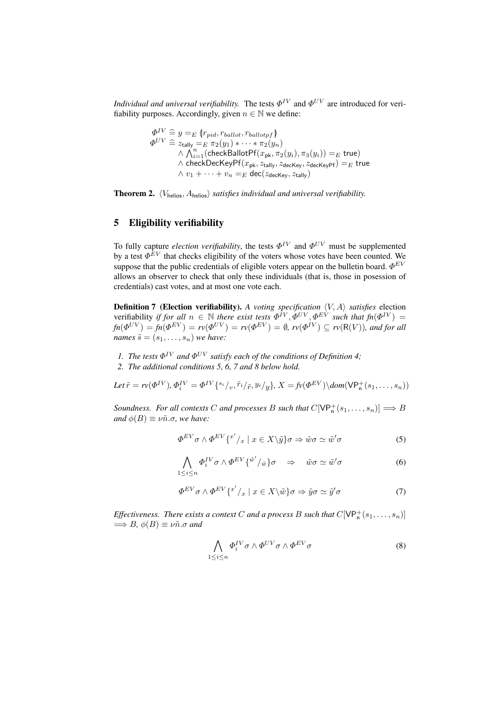*Individual and universal verifiability.* The tests  $\Phi^{IV}$  and  $\Phi^{UV}$  are introduced for verifiability purposes. Accordingly, given  $n \in \mathbb{N}$  we define:

$$
\begin{array}{l} \Phi^{IV} \mathrel{\widehat{=}} y =_E \left( r_{pid}, r_{ballot}, r_{ballotpf} \right) \\ \Phi^{UV} \mathrel{\widehat{=}} z_{\text{tally}} =_E \pi_2(y_1) * \cdots * \pi_2(y_n) \\ \wedge \bigwedge_{i=1}^n (\text{checkBallotPf}(x_{\text{pk}}, \pi_2(y_i), \pi_3(y_i)) =_E \text{ true}) \\ \wedge \text{checkDecKeyPf}(x_{\text{pk}}, z_{\text{tally}}, z_{\text{deckKeyPf}}) =_E \text{ true} \\ \wedge v_1 + \cdots + v_n =_E \text{dec}(z_{\text{deckey}}, z_{\text{tally}}) \end{array}
$$

**Theorem 2.**  $\langle V_{helios}, A_{helios} \rangle$  *satisfies individual and universal verifiability.* 

# 5 Eligibility verifiability

To fully capture *election verifiability*, the tests  $\Phi^{IV}$  and  $\Phi^{UV}$  must be supplemented by a test  $\Phi^{EV}$  that checks eligibility of the voters whose votes have been counted. We suppose that the public credentials of eligible voters appear on the bulletin board.  $\Phi^{EV}$ allows an observer to check that only these individuals (that is, those in posession of credentials) cast votes, and at most one vote each.

**Definition 7 (Election verifiability).** A voting specification  $\langle V, A \rangle$  satisfies election verifiability *if for all*  $n \in \mathbb{N}$  *there exist tests*  $\Phi^{IV}$ ,  $\Phi^{UV}$ ,  $\Phi^{EV}$  *such that fn*( $\Phi^{IV}$ ) =  $fn(\Phi^{UV}) = fn(\Phi^{EV}) = rv(\Phi^{UV}) = rv(\Phi^{EV}) = \emptyset$ ,  $rv(\Phi^{IV}) \subseteq rv(R(V))$ , and for all *names*  $\tilde{s} = (s_1, \ldots, s_n)$  *we have:* 

- 1. The tests  $\Phi^{IV}$  and  $\Phi^{UV}$  satisfy each of the conditions of Definition 4;
- *2. The additional conditions 5, 6, 7 and 8 below hold.*

Let 
$$
\tilde{r} = rv(\Phi^{IV}), \Phi_i^{IV} = \Phi^{IV} \{ s_i/_v, \tilde{r}_i / \tilde{r}, y_i / y \}, X = fv(\Phi^{EV}) \cdot \text{dom}(\mathsf{VP}_n^+(s_1, \ldots, s_n))
$$

*Soundness. For all contexts* C and processes B such that  $C[\mathsf{VP}_n^+(s_1,\ldots,s_n)] \Longrightarrow B$ *and*  $\phi(B) \equiv \nu \tilde{n} \cdot \sigma$ *, we have:* 

$$
\Phi^{EV}\sigma \wedge \Phi^{EV} \{^{x'} / _x \mid x \in X \backslash \tilde{y} \} \sigma \Rightarrow \tilde{w}\sigma \simeq \tilde{w}'\sigma \tag{5}
$$

$$
\bigwedge_{1 \leq i \leq n} \Phi_i^{IV} \sigma \wedge \Phi^{EV} {\{\tilde{w}' / \tilde{w}\}} \sigma \quad \Rightarrow \quad \tilde{w} \sigma \simeq \tilde{w}' \sigma \tag{6}
$$

$$
\Phi^{EV}\sigma \wedge \Phi^{EV} \{^{x'} /_{x} \mid x \in X \backslash \tilde{w} \} \sigma \Rightarrow \tilde{y}\sigma \simeq \tilde{y}'\sigma \tag{7}
$$

Effectiveness. There exists a context C and a process B such that  $C[\mathsf{VP}_{\mathsf{n}}^+(s_1,\ldots,s_n)]$  $\implies$  *B*,  $\phi$ (*B*)  $\equiv \nu \tilde{n} \cdot \sigma$  and

$$
\bigwedge_{1 \leq i \leq n} \Phi_i^{IV} \sigma \wedge \Phi^{UV} \sigma \wedge \Phi^{EV} \sigma \tag{8}
$$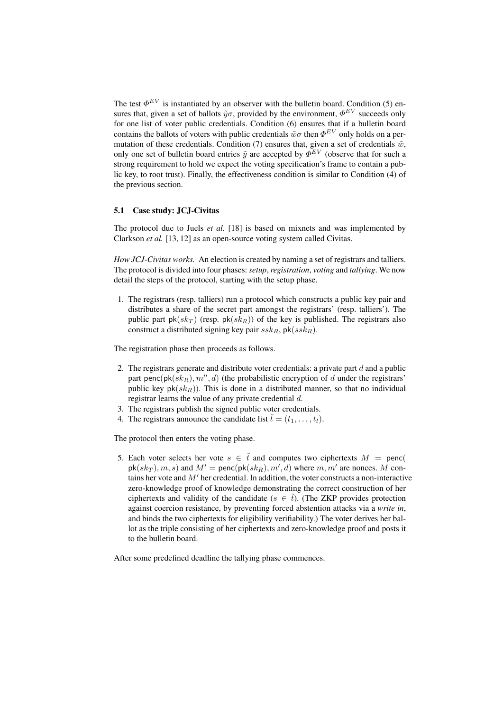The test  $\Phi^{EV}$  is instantiated by an observer with the bulletin board. Condition (5) ensures that, given a set of ballots  $\tilde{y}\sigma$ , provided by the environment,  $\Phi^{EV}$  succeeds only for one list of voter public credentials. Condition (6) ensures that if a bulletin board contains the ballots of voters with public credentials  $\tilde{w}\sigma$  then  $\Phi^{EV}$  only holds on a permutation of these credentials. Condition (7) ensures that, given a set of credentials  $\tilde{w}$ , only one set of bulletin board entries  $\tilde{y}$  are accepted by  $\Phi^{EV}$  (observe that for such a strong requirement to hold we expect the voting specification's frame to contain a public key, to root trust). Finally, the effectiveness condition is similar to Condition (4) of the previous section.

### 5.1 Case study: JCJ-Civitas

The protocol due to Juels *et al.* [18] is based on mixnets and was implemented by Clarkson *et al.* [13, 12] as an open-source voting system called Civitas.

*How JCJ-Civitas works.* An election is created by naming a set of registrars and talliers. The protocol is divided into four phases:*setup*,*registration*, *voting* and *tallying*. We now detail the steps of the protocol, starting with the setup phase.

1. The registrars (resp. talliers) run a protocol which constructs a public key pair and distributes a share of the secret part amongst the registrars' (resp. talliers'). The public part  $pk(sk_T$ ) (resp.  $pk(sk_R$ )) of the key is published. The registrars also construct a distributed signing key pair  $ssk_R$ , pk( $ssk_R$ ).

The registration phase then proceeds as follows.

- 2. The registrars generate and distribute voter credentials: a private part  $d$  and a public part penc(pk( $sk_R$ ),  $m'', d$ ) (the probabilistic encryption of d under the registrars' public key  $pk(sk_R)$ ). This is done in a distributed manner, so that no individual registrar learns the value of any private credential d.
- 3. The registrars publish the signed public voter credentials.
- 4. The registrars announce the candidate list  $\tilde{t} = (t_1, \ldots, t_l)$ .

The protocol then enters the voting phase.

5. Each voter selects her vote  $s \in \tilde{t}$  and computes two ciphertexts  $M = \text{penc}(t)$  $pk(sk_T), m, s)$  and  $M' = \text{penc}(pk(sk_R), m', d)$  where  $m, m'$  are nonces. M contains her vote and  $M'$  her credential. In addition, the voter constructs a non-interactive zero-knowledge proof of knowledge demonstrating the correct construction of her ciphertexts and validity of the candidate ( $s \in \tilde{t}$ ). (The ZKP provides protection against coercion resistance, by preventing forced abstention attacks via a *write in*, and binds the two ciphertexts for eligibility verifiability.) The voter derives her ballot as the triple consisting of her ciphertexts and zero-knowledge proof and posts it to the bulletin board.

After some predefined deadline the tallying phase commences.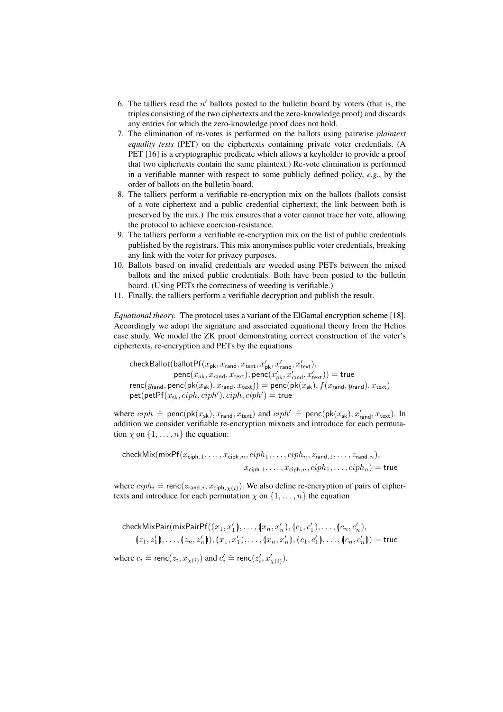- 6. The talliers read the  $n'$  ballots posted to the bulletin board by voters (that is, the triples consisting of the two ciphertexts and the zero-knowledge proof) and discards any entries for which the zero-knowledge proof does not hold.
- 7. The elimination of re-votes is performed on the ballots using pairwise *plaintext equality tests* (PET) on the ciphertexts containing private voter credentials. (A PET [16] is a cryptographic predicate which allows a keyholder to provide a proof that two ciphertexts contain the same plaintext.) Re-vote elimination is performed in a verifiable manner with respect to some publicly defined policy, *e.g.*, by the order of ballots on the bulletin board.
- 8. The talliers perform a verifiable re-encryption mix on the ballots (ballots consist of a vote ciphertext and a public credential ciphertext; the link between both is preserved by the mix.) The mix ensures that a voter cannot trace her vote, allowing the protocol to achieve coercion-resistance.
- 9. The talliers perform a verifiable re-encryption mix on the list of public credentials published by the registrars. This mix anonymises public voter credentials, breaking any link with the voter for privacy purposes.
- 10. Ballots based on invalid credentials are weeded using PETs between the mixed ballots and the mixed public credentials. Both have been posted to the bulletin board. (Using PETs the correctness of weeding is verifiable.)
- 11. Finally, the talliers perform a verifiable decryption and publish the result.

*Equational theory.* The protocol uses a variant of the ElGamal encryption scheme [18]. Accordingly we adopt the signature and associated equational theory from the Helios case study. We model the ZK proof demonstrating correct construction of the voter's ciphertexts, re-encryption and PETs by the equations

$$
\text{checkBallot}(\text{ballot}(\text{followF}(\mathit{x_{\textrm{pk}}},\mathit{x_{\textrm{rand}},\mathit{x_{\textrm{text}}},\mathit{x'_{\textrm{pkt}}},\mathit{x'_{\textrm{rand}},\mathit{x'_{\textrm{text}}}),}\\ \text{penc}(\mathit{x_{\textrm{pk}},\mathit{x_{\textrm{rand}}},\mathit{x_{\textrm{text}}}),\text{penc}(\mathit{x'_{\textrm{pk}},\mathit{x'_{\textrm{rand}}},\mathit{x'_{\textrm{text}}}) ) = \textrm{true}\\ \text{renc}(\mathit{y_{\textrm{rand}}},\text{penc}(\text{pk}(\mathit{x_{\textrm{sk}}}),\mathit{x_{\textrm{rand}},\mathit{x_{\textrm{text}}}) ) = \text{penc}(\text{pk}(\mathit{x_{\textrm{sk}}}),f(\mathit{x_{\textrm{rand}}},\mathit{y_{\textrm{rand}}}),\mathit{x_{\textrm{text}}}) }\\ \text{pet}(\text{pet}\text{Pf}(\mathit{x_{\textrm{sk}}},\textit{ciph},\textit{ciph}'),\textit{ciph},\textit{ciph} ') = \textrm{true}\\
$$

where  $ciph \hat{=}$  penc(pk( $x_{sk}$ ),  $x_{rand}$ ,  $x_{text}$ ) and  $ciph' \hat{=}$  penc(pk( $x_{sk}$ ),  $x'_{rand}$ ,  $x_{text}$ ). In addition we consider verifiable re-encryption mixnets and introduce for each permutation  $\chi$  on  $\{1, \ldots, n\}$  the equation:

$$
\mathsf{checkMix}(\mathsf{mixPf}(x_{\mathsf{ciph},1},\ldots,x_{\mathsf{ciph},n},ciph_1,\ldots,ciph_n,z_{\mathsf{rand},1},\ldots,z_{\mathsf{rand},n}),
$$

$$
x_{\mathsf{ciph},1},\ldots,x_{\mathsf{ciph},n},ciph_1,\ldots,ciph_n) = \mathsf{true}
$$

where  $ciph_i \triangleq \text{renc}(z_{\text{rand},i}, x_{\text{ciph},\chi(i)})$ . We also define re-encryption of pairs of ciphertexts and introduce for each permutation  $\chi$  on  $\{1, \ldots, n\}$  the equation

$$
\mathsf{checkMixPair}(\mathsf{mixPair}(f([x_1, x_1'], \dots, (x_n, x_n'), (c_1, c_1'), \dots, (c_n, c_n'),
$$
  

$$
(z_1, z_1'), \dots, (z_n, z_n')), (x_1, x_1'), \dots, (x_n, x_n'), (c_1, c_1'), \dots, (c_n, c_n')) = \mathsf{true}
$$

where  $c_i \triangleq \text{renc}(z_i, x_{\chi(i)})$  and  $c'_i \triangleq \text{renc}(z'_i, x'_{\chi(i)})$ .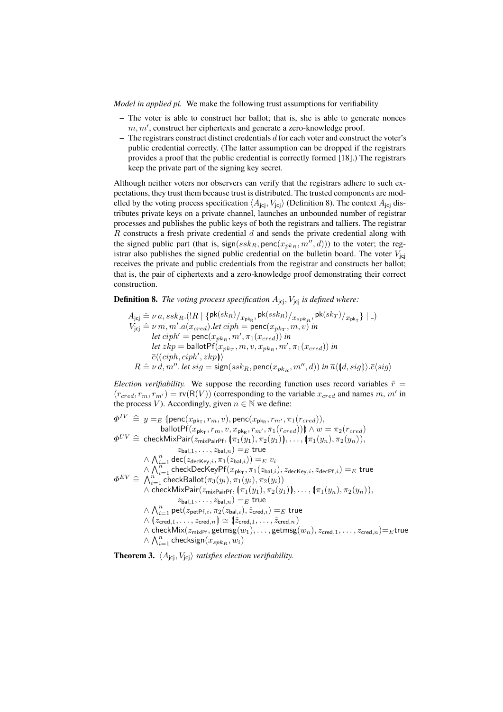*Model in applied pi.* We make the following trust assumptions for verifiability

- The voter is able to construct her ballot; that is, she is able to generate nonces  $m, m'$ , construct her ciphertexts and generate a zero-knowledge proof.
- $-$  The registrars construct distinct credentials  $d$  for each voter and construct the voter's public credential correctly. (The latter assumption can be dropped if the registrars provides a proof that the public credential is correctly formed [18].) The registrars keep the private part of the signing key secret.

Although neither voters nor observers can verify that the registrars adhere to such expectations, they trust them because trust is distributed. The trusted components are modelled by the voting process specification  $\langle A_{\text{jc}} |, V_{\text{jc}} \rangle$  (Definition 8). The context  $A_{\text{jc}}$  distributes private keys on a private channel, launches an unbounded number of registrar processes and publishes the public keys of both the registrars and talliers. The registrar  $R$  constructs a fresh private credential  $d$  and sends the private credential along with the signed public part (that is,  $sign(ssk_R, penc(x_{pk_R}, m'', d))$ ) to the voter; the registrar also publishes the signed public credential on the bulletin board. The voter  $V_{\text{[c]}}$ receives the private and public credentials from the registrar and constructs her ballot; that is, the pair of ciphertexts and a zero-knowledge proof demonstrating their correct construction.

**Definition 8.** *The voting process specification*  $A_{\text{icj}}$ ,  $V_{\text{icj}}$  *is defined where:* 

$$
A_{\rm jcj} \hat{=} \nu a, \, \text{ssk}_R.(!R \mid \{ \text{pk}(s k_R) / \mathcal{P}_{\text{pk}_R}, \text{pk}(s k_R) / \mathcal{P}_{\text{spk}_R}, \text{pk}(s k_T) / \mathcal{P}_{\text{pk}_T} \} \mid .)
$$
\n
$$
V_{\rm jcj} \hat{=} \nu m, m'.a(x_{\text{cred}}).let \, ciph = \text{penc}(x_{\text{pk}_T}, m, v) \, \text{in}
$$
\n
$$
let \, ciph' = \text{penc}(x_{\text{pk}_R}, m', \pi_1(x_{\text{cred}})) \, \text{in}
$$
\n
$$
let \, zkp = \text{ballotPf}(x_{\text{pk}_T}, m, v, x_{\text{pk}_R}, m', \pi_1(x_{\text{cred}})) \, \text{in}
$$
\n
$$
\bar{c} \langle (ciph, ciph', zkp) \rangle
$$
\n
$$
R \hat{=} \nu d, m''. let \, sig = \text{sign}(ss k_R, \text{penc}(x_{\text{pk}_R}, m', d)) \, \text{in } \bar{a} \langle (d, sig) \rangle. \bar{c} \langle sig \rangle
$$

*Election verifiability.* We suppose the recording function uses record variables  $\tilde{r}$  =  $(r_{cred}, r_m, r_{m'}) = \text{rv}(\text{R}(V))$  (corresponding to the variable  $x_{cred}$  and names m, m' in the process V). Accordingly, given  $n \in \mathbb{N}$  we define:

$$
\begin{array}{rl} \varPhi^{IV} &\cong& y=_E(\text{penc}(x_{\text{pk}_\text{T}},r_m,v),\text{penc}(x_{\text{pk}_\text{R}},r_{m'},\pi_1(r_{\text{cred}})),\\ &&\text{ballotPf}(x_{\text{pk}_\text{T}},r_m,v,x_{\text{pk}_\text{R}},r_{m'},\pi_1(r_{\text{cred}})))\wedge\\ w = \pi_2(r_{\text{cred}})\\ \varPhi^{UV} &\cong& \text{checkMixPair}(z_{\text{mixPair}}\text{pair},(\pi_1(y_1),\pi_2(y_1)),\dots,(\pi_1(y_n),\pi_2(y_n)),\\ &&\qquad z_{\text{bal},1},\dots,z_{\text{bal},n}) =_E \text{ true}\\ &&\wedge \bigwedge_{i=1}^n \text{dec}(z_{\text{decKey},i},\pi_1(z_{\text{bal},i})) =_E v_i\\ &&\wedge \bigwedge_{i=1}^n \text{checkDecKeyPf}(x_{\text{pk}_\text{T}},\pi_1(z_{\text{bal},i}),z_{\text{decKey},i},z_{\text{decPf},i}) =_E \text{ true}\\ &&\varPhi^{EV} \cong \bigwedge_{i=1}^n \text{checkBallot}(\pi_3(y_i),\pi_1(y_i),\pi_2(y_i))\\ &&\wedge \text{checkMixPair}(z_{\text{mixPair}}\text{pr},(\pi_1(y_1),\pi_2(y_1)),\dots,(\pi_1(y_n),\pi_2(y_n)),\\ &&\qquad z_{\text{bal},1},\dots,z_{\text{bal},n}) =_E \text{ true}\\ &&\wedge \bigwedge_{i=1}^n \text{pet}(z_{\text{petPf},i},\pi_2(z_{\text{bal},i}),\hat{z}_{\text{cred},i}) =_E \text{ true}\\ &&\wedge \big(z_{\text{cred},1},\dots,z_{\text{cred},n}\big) \cong (\hat{z}_{\text{cred},1},\dots,\hat{z}_{\text{cred},n})\\ &&\wedge \text{checkMix}(z_{\text{mixPf}},\text{getmsg}(w_1),\dots,\text{getmsg}(w_n),z_{\text{cred},1},\dots,z_{\text{cred},n}) =_E \text{ true}\\ &&\wedge \bigwedge_{i=1}^n \text{checksign}(x_{\text{spk},i},w_i) \end{array}
$$

**Theorem 3.**  $\langle A_{\text{jcj}}, V_{\text{jcj}} \rangle$  *satisfies election verifiability.*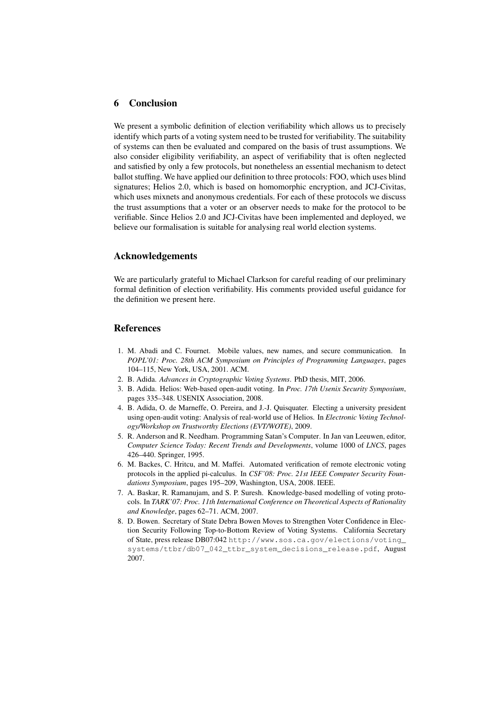## 6 Conclusion

We present a symbolic definition of election verifiability which allows us to precisely identify which parts of a voting system need to be trusted for verifiability. The suitability of systems can then be evaluated and compared on the basis of trust assumptions. We also consider eligibility verifiability, an aspect of verifiability that is often neglected and satisfied by only a few protocols, but nonetheless an essential mechanism to detect ballot stuffing. We have applied our definition to three protocols: FOO, which uses blind signatures; Helios 2.0, which is based on homomorphic encryption, and JCJ-Civitas, which uses mixnets and anonymous credentials. For each of these protocols we discuss the trust assumptions that a voter or an observer needs to make for the protocol to be verifiable. Since Helios 2.0 and JCJ-Civitas have been implemented and deployed, we believe our formalisation is suitable for analysing real world election systems.

### Acknowledgements

We are particularly grateful to Michael Clarkson for careful reading of our preliminary formal definition of election verifiability. His comments provided useful guidance for the definition we present here.

# References

- 1. M. Abadi and C. Fournet. Mobile values, new names, and secure communication. In *POPL'01: Proc. 28th ACM Symposium on Principles of Programming Languages*, pages 104–115, New York, USA, 2001. ACM.
- 2. B. Adida. *Advances in Cryptographic Voting Systems*. PhD thesis, MIT, 2006.
- 3. B. Adida. Helios: Web-based open-audit voting. In *Proc. 17th Usenix Security Symposium*, pages 335–348. USENIX Association, 2008.
- 4. B. Adida, O. de Marneffe, O. Pereira, and J.-J. Quisquater. Electing a university president using open-audit voting: Analysis of real-world use of Helios. In *Electronic Voting Technology/Workshop on Trustworthy Elections (EVT/WOTE)*, 2009.
- 5. R. Anderson and R. Needham. Programming Satan's Computer. In Jan van Leeuwen, editor, *Computer Science Today: Recent Trends and Developments*, volume 1000 of *LNCS*, pages 426–440. Springer, 1995.
- 6. M. Backes, C. Hritcu, and M. Maffei. Automated verification of remote electronic voting protocols in the applied pi-calculus. In *CSF'08: Proc. 21st IEEE Computer Security Foundations Symposium*, pages 195–209, Washington, USA, 2008. IEEE.
- 7. A. Baskar, R. Ramanujam, and S. P. Suresh. Knowledge-based modelling of voting protocols. In *TARK'07: Proc. 11th International Conference on Theoretical Aspects of Rationality and Knowledge*, pages 62–71. ACM, 2007.
- 8. D. Bowen. Secretary of State Debra Bowen Moves to Strengthen Voter Confidence in Election Security Following Top-to-Bottom Review of Voting Systems. California Secretary of State, press release DB07:042 http://www.sos.ca.gov/elections/voting\_ systems/ttbr/db07\_042\_ttbr\_system\_decisions\_release.pdf, August 2007.